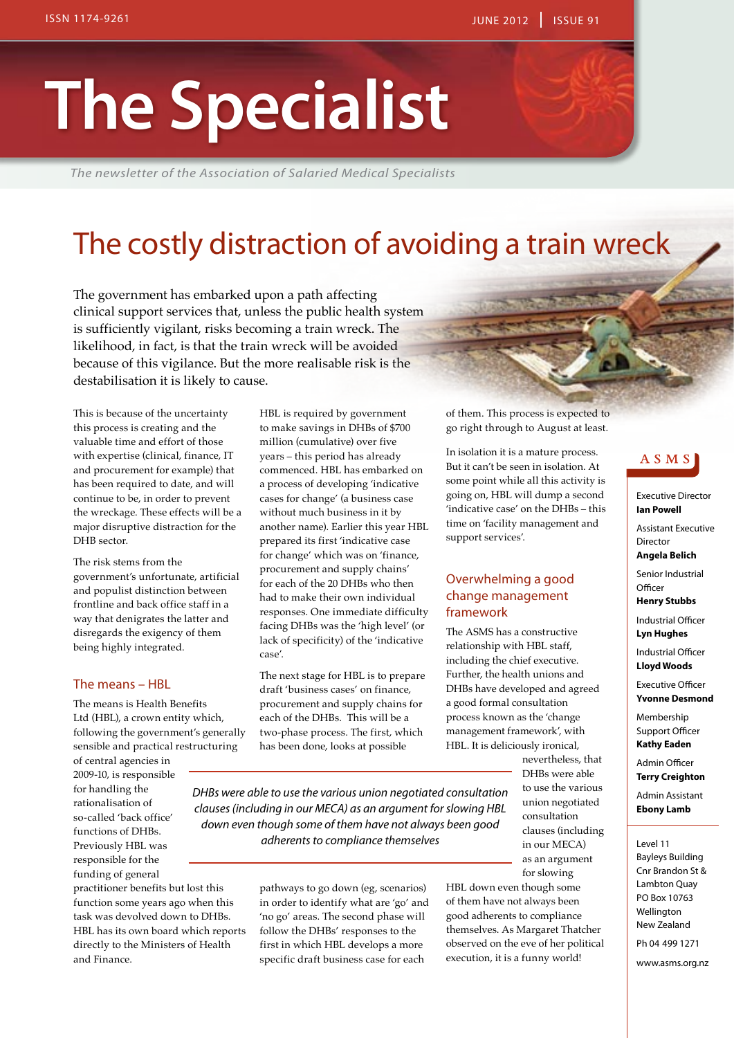# **The Specialist**

*The newsletter of the Association of Salaried Medical Specialists*

### The costly distraction of avoiding a train wreck

The government has embarked upon a path affecting clinical support services that, unless the public health system is sufficiently vigilant, risks becoming a train wreck. The likelihood, in fact, is that the train wreck will be avoided because of this vigilance. But the more realisable risk is the destabilisation it is likely to cause.

This is because of the uncertainty this process is creating and the valuable time and effort of those with expertise (clinical, finance, IT and procurement for example) that has been required to date, and will continue to be, in order to prevent the wreckage. These effects will be a major disruptive distraction for the DHB sector.

The risk stems from the government's unfortunate, artificial and populist distinction between frontline and back office staff in a way that denigrates the latter and disregards the exigency of them being highly integrated.

#### The means – HBL

The means is Health Benefits Ltd (HBL), a crown entity which, following the government's generally sensible and practical restructuring

of central agencies in 2009-10, is responsible for handling the rationalisation of so-called 'back office' functions of DHBs. Previously HBL was responsible for the funding of general

practitioner benefits but lost this function some years ago when this task was devolved down to DHBs. HBL has its own board which reports directly to the Ministers of Health and Finance.

HBL is required by government to make savings in DHBs of \$700 million (cumulative) over five years – this period has already commenced. HBL has embarked on a process of developing 'indicative cases for change' (a business case without much business in it by another name). Earlier this year HBL prepared its first 'indicative case for change' which was on 'finance, procurement and supply chains' for each of the 20 DHBs who then had to make their own individual responses. One immediate difficulty facing DHBs was the 'high level' (or lack of specificity) of the 'indicative case'.

The next stage for HBL is to prepare draft 'business cases' on finance, procurement and supply chains for each of the DHBs. This will be a two-phase process. The first, which has been done, looks at possible

of them. This process is expected to go right through to August at least.

In isolation it is a mature process. But it can't be seen in isolation. At some point while all this activity is going on, HBL will dump a second 'indicative case' on the DHBs – this time on 'facility management and support services'.

#### Overwhelming a good change management framework

The ASMS has a constructive relationship with HBL staff, including the chief executive. Further, the health unions and DHBs have developed and agreed a good formal consultation process known as the 'change management framework', with HBL. It is deliciously ironical,

> nevertheless, that DHBs were able to use the various union negotiated consultation clauses (including in our MECA) as an argument for slowing

*DHBs were able to use the various union negotiated consultation clauses (including in our MECA) as an argument for slowing HBL down even though some of them have not always been good adherents to compliance themselves*

> pathways to go down (eg, scenarios) in order to identify what are 'go' and 'no go' areas. The second phase will follow the DHBs' responses to the first in which HBL develops a more specific draft business case for each

HBL down even though some of them have not always been good adherents to compliance themselves. As Margaret Thatcher observed on the eve of her political execution, it is a funny world!

#### ASMS

Executive Director **Ian Powell**

Assistant Executive **Director** 

**Angela Belich** Senior Industrial

**Officer Henry Stubbs**

Industrial Officer **Lyn Hughes**

Industrial Officer **Lloyd Woods**

Executive Officer **Yvonne Desmond**

Membership Support Officer **Kathy Eaden**

Admin Officer **Terry Creighton**

Admin Assistant

**Ebony Lamb**

Level 11

Bayleys Building Cnr Brandon St & Lambton Quay PO Box 10763 Wellington New Zealand

Ph 04 499 1271

www.asms.org.nz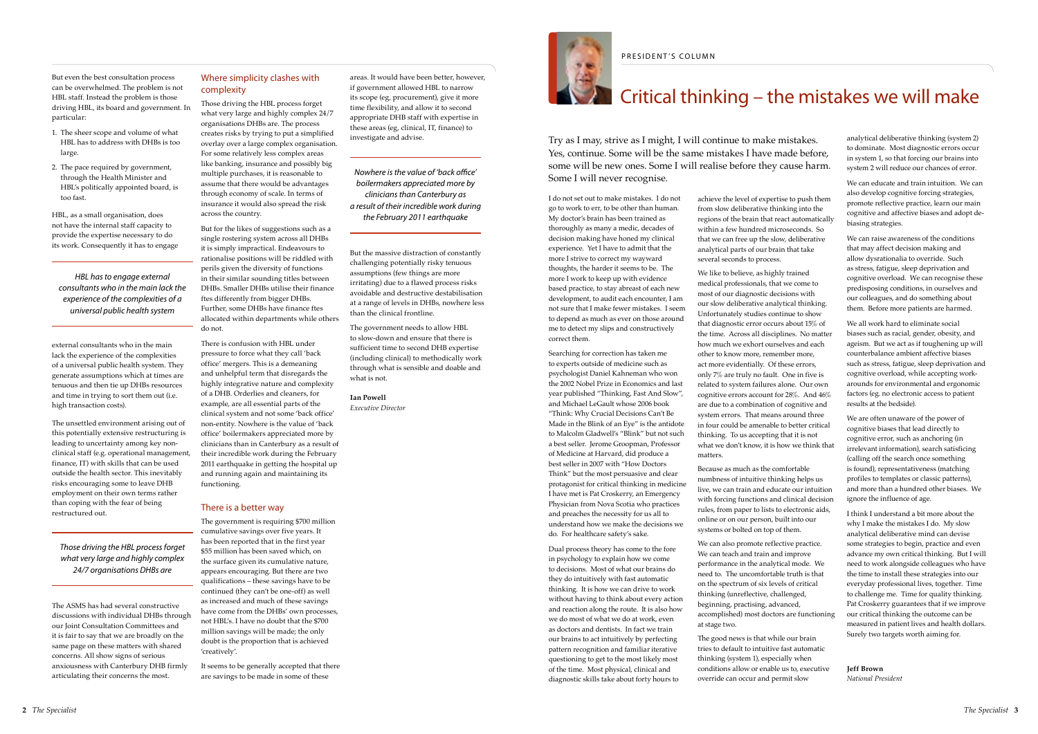But even the best consultation process can be overwhelmed. The problem is not HBL staff. Instead the problem is those driving HBL, its board and government. In particular:

- 1. The sheer scope and volume of what HBL has to address with DHBs is too large.
- 2. The pace required by government, through the Health Minister and HBL's politically appointed board, is too fast.

HBL, as a small organisation, does not have the internal staff capacity to provide the expertise necessary to do its work. Consequently it has to engage

external consultants who in the main lack the experience of the complexities of a universal public health system. They generate assumptions which at times are tenuous and then tie up DHBs resources and time in trying to sort them out (i.e. high transaction costs).

The unsettled environment arising out of this potentially extensive restructuring is leading to uncertainty among key nonclinical staff (e.g. operational management, finance, IT) with skills that can be used outside the health sector. This inevitably risks encouraging some to leave DHB employment on their own terms rather than coping with the fear of being restructured out.

The ASMS has had several constructive discussions with individual DHBs through our Joint Consultation Committees and it is fair to say that we are broadly on the same page on these matters with shared concerns. All show signs of serious anxiousness with Canterbury DHB firmly articulating their concerns the most.

#### Where simplicity clashes with complexity

Those driving the HBL process forget what very large and highly complex 24/7 organisations DHBs are. The process creates risks by trying to put a simplified overlay over a large complex organisation. For some relatively less complex areas like banking, insurance and possibly big multiple purchases, it is reasonable to assume that there would be advantages through economy of scale. In terms of insurance it would also spread the risk across the country. But for the likes of suggestions such as a

single rostering system across all DHBs it is simply impractical. Endeavours to rationalise positions will be riddled with perils given the diversity of functions in their similar sounding titles between DHBs. Smaller DHBs utilise their finance ftes differently from bigger DHBs. Further, some DHBs have finance ftes allocated within departments while others do not.

There is confusion with HBL under pressure to force what they call 'back office' mergers. This is a demeaning and unhelpful term that disregards the highly integrative nature and complexity of a DHB. Orderlies and cleaners, for example, are all essential parts of the clinical system and not some 'back office' non-entity. Nowhere is the value of 'back office' boilermakers appreciated more by clinicians than in Canterbury as a result of their incredible work during the February 2011 earthquake in getting the hospital up and running again and maintaining its functioning.

#### There is a better way

The government is requiring \$700 million cumulative savings over five years. It has been reported that in the first year \$55 million has been saved which, on the surface given its cumulative nature, appears encouraging. But there are two qualifications – these savings have to be continued (they can't be one-off) as well as increased and much of these savings have come from the DHBs' own processes, not HBL's. I have no doubt that the \$700 million savings will be made; the only doubt is the proportion that is achieved 'creatively'.

It seems to be generally accepted that there are savings to be made in some of these

areas. It would have been better, however, if government allowed HBL to narrow its scope (eg, procurement), give it more time flexibility, and allow it to second appropriate DHB staff with expertise in these areas (eg, clinical, IT, finance) to investigate and advise.

But the massive distraction of constantly challenging potentially risky tenuous assumptions (few things are more irritating) due to a flawed process risks avoidable and destructive destabilisation at a range of levels in DHBs, nowhere less than the clinical frontline.

The government needs to allow HBL to slow-down and ensure that there is sufficient time to second DHB expertise (including clinical) to methodically work through what is sensible and doable and what is not.

#### **Ian Powell**

*Executive Director*



I do not set out to make mistakes. I do not go to work to err, to be other than human. My doctor's brain has been trained as thoroughly as many a medic, decades of decision making have honed my clinical experience. Yet I have to admit that the more I strive to correct my wayward thoughts, the harder it seems to be. The more I work to keep up with evidence based practice, to stay abreast of each new development, to audit each encounter, I am not sure that I make fewer mistakes. I seem to depend as much as ever on those around me to detect my slips and constructively correct them.

Searching for correction has taken me to experts outside of medicine such as psychologist Daniel Kahneman who won the 2002 Nobel Prize in Economics and last year published "Thinking, Fast And Slow", and Michael LeGault whose 2006 book "Think: Why Crucial Decisions Can't Be Made in the Blink of an Eye" is the antidote to Malcolm Gladwell's "Blink" but not such a best seller. Jerome Groopman, Professor of Medicine at Harvard, did produce a best seller in 2007 with "How Doctors Think" but the most persuasive and clear protagonist for critical thinking in medicine I have met is Pat Croskerry, an Emergency Physician from Nova Scotia who practices and preaches the necessity for us all to understand how we make the decisions we do. For healthcare safety's sake.

Dual process theory has come to the fore in psychology to explain how we come to decisions. Most of what our brains do they do intuitively with fast automatic thinking. It is how we can drive to work without having to think about every action and reaction along the route. It is also how we do most of what we do at work, even as doctors and dentists. In fact we train our brains to act intuitively by perfecting pattern recognition and familiar iterative questioning to get to the most likely most of the time. Most physical, clinical and diagnostic skills take about forty hours to

achieve the level of expertise to push them from slow deliberative thinking into the regions of the brain that react automatically within a few hundred microseconds. So that we can free up the slow, deliberative analytical parts of our brain that take several seconds to process.

We like to believe, as highly trained medical professionals, that we come to most of our diagnostic decisions with our slow deliberative analytical thinking. Unfortunately studies continue to show that diagnostic error occurs about 15% of the time. Across all disciplines. No matter how much we exhort ourselves and each other to know more, remember more, act more evidentially. Of these errors, only 7% are truly no fault. One in five is related to system failures alone. Our own cognitive errors account for 28%. And 46% are due to a combination of cognitive and system errors. That means around three in four could be amenable to better critical thinking. To us accepting that it is not what we don't know, it is how we think that matters.

Because as much as the comfortable numbness of intuitive thinking helps us live, we can train and educate our intuition with forcing functions and clinical decision rules, from paper to lists to electronic aids, online or on our person, built into our systems or bolted on top of them.

We can also promote reflective practice. We can teach and train and improve performance in the analytical mode. We need to. The uncomfortable truth is that on the spectrum of six levels of critical thinking (unreflective, challenged, beginning, practising, advanced, accomplished) most doctors are functioning at stage two.

The good news is that while our brain tries to default to intuitive fast automatic thinking (system 1), especially when conditions allow or enable us to, executive override can occur and permit slow

analytical deliberative thinking (system 2) to dominate. Most diagnostic errors occur in system 1, so that forcing our brains into system 2 will reduce our chances of error.

We can educate and train intuition. We can also develop cognitive forcing strategies, promote reflective practice, learn our main cognitive and affective biases and adopt debiasing strategies.

We can raise awareness of the conditions that may affect decision making and allow dysrationalia to override. Such as stress, fatigue, sleep deprivation and cognitive overload. We can recognise these predisposing conditions, in ourselves and our colleagues, and do something about them. Before more patients are harmed.

We all work hard to eliminate social biases such as racial, gender, obesity, and ageism. But we act as if toughening up will counterbalance ambient affective biases such as stress, fatigue, sleep deprivation and cognitive overload, while accepting workarounds for environmental and ergonomic factors (eg. no electronic access to patient results at the bedside).

We are often unaware of the power of cognitive biases that lead directly to cognitive error, such as anchoring (in irrelevant information), search satisficing (calling off the search once something is found), representativeness (matching profiles to templates or classic patterns), and more than a hundred other biases. We ignore the influence of age.

I think I understand a bit more about the why I make the mistakes I do. My slow analytical deliberative mind can devise some strategies to begin, practice and even advance my own critical thinking. But I will need to work alongside colleagues who have the time to install these strategies into our everyday professional lives, together. Time to challenge me. Time for quality thinking. Pat Croskerry guarantees that if we improve our critical thinking the outcome can be measured in patient lives and health dollars. Surely two targets worth aiming for.

**Jeff Brown** *National President*

#### PRESIDENT'S COLUMN

### $\blacksquare$  Critical thinking – the mistakes we will make

*Nowhere is the value of 'back office' boilermakers appreciated more by clinicians than Canterbury as a result of their incredible work during the February 2011 earthquake*

*Those driving the HBL process forget what very large and highly complex 24/7 organisations DHBs are*

*HBL has to engage external consultants who in the main lack the experience of the complexities of a universal public health system*

Try as I may, strive as I might, I will continue to make mistakes. Yes, continue. Some will be the same mistakes I have made before, some will be new ones. Some I will realise before they cause harm. Some I will never recognise.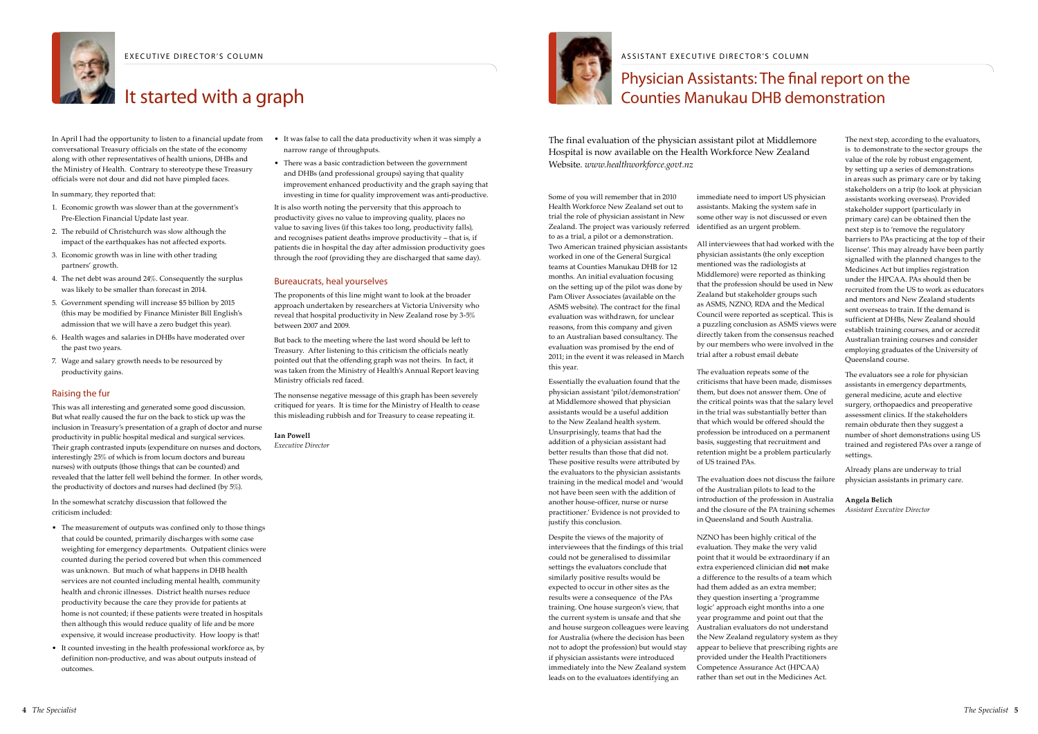

EXECUTIVE DIRECTOR'S COLUMN

### **It started with a graph**

In April I had the opportunity to listen to a financial update from conversational Treasury officials on the state of the economy along with other representatives of health unions, DHBs and the Ministry of Health. Contrary to stereotype these Treasury officials were not dour and did not have pimpled faces.

In summary, they reported that:

- 1. Economic growth was slower than at the government's Pre-Election Financial Update last year.
- 2. The rebuild of Christchurch was slow although the impact of the earthquakes has not affected exports.
- 3. Economic growth was in line with other trading partners' growth.
- 4. The net debt was around 24%. Consequently the surplus was likely to be smaller than forecast in 2014.
- 5. Government spending will increase \$5 billion by 2015 (this may be modified by Finance Minister Bill English's admission that we will have a zero budget this year).
- 6. Health wages and salaries in DHBs have moderated over the past two years.
- 7. Wage and salary growth needs to be resourced by productivity gains.

#### Raising the fur

- The measurement of outputs was confined only to those things that could be counted, primarily discharges with some case weighting for emergency departments. Outpatient clinics were counted during the period covered but when this commenced was unknown. But much of what happens in DHB health services are not counted including mental health, community health and chronic illnesses. District health nurses reduce productivity because the care they provide for patients at home is not counted; if these patients were treated in hospitals then although this would reduce quality of life and be more expensive, it would increase productivity. How loopy is that!
- It counted investing in the health professional workforce as, by definition non-productive, and was about outputs instead of outcomes.

This was all interesting and generated some good discussion. But what really caused the fur on the back to stick up was the inclusion in Treasury's presentation of a graph of doctor and nurse productivity in public hospital medical and surgical services. Their graph contrasted inputs (expenditure on nurses and doctors, interestingly 25% of which is from locum doctors and bureau nurses) with outputs (those things that can be counted) and revealed that the latter fell well behind the former. In other words, the productivity of doctors and nurses had declined (by 5%).

- It was false to call the data productivity when it was simply a narrow range of throughputs.
- There was a basic contradiction between the government and DHBs (and professional groups) saying that quality improvement enhanced productivity and the graph saying that investing in time for quality improvement was anti-productive.

In the somewhat scratchy discussion that followed the criticism included:

It is also worth noting the perversity that this approach to productivity gives no value to improving quality, places no value to saving lives (if this takes too long, productivity falls), and recognises patient deaths improve productivity – that is, if patients die in hospital the day after admission productivity goes through the roof (providing they are discharged that same day).

#### Bureaucrats, heal yourselves

The proponents of this line might want to look at the broader approach undertaken by researchers at Victoria University who reveal that hospital productivity in New Zealand rose by 3-5% between 2007 and 2009.

But back to the meeting where the last word should be left to Treasury. After listening to this criticism the officials neatly pointed out that the offending graph was not theirs. In fact, it was taken from the Ministry of Health's Annual Report leaving Ministry officials red faced.

The nonsense negative message of this graph has been severely critiqued for years. It is time for the Ministry of Health to cease this misleading rubbish and for Treasury to cease repeating it.

#### **Ian Powell**

*Executive Director*



### Physician Assistants: The final report on the Counties Manukau DHB demonstration

ASSISTANT EXECUTIVE DIRECTOR'S COLUMN

Some of you will remember that in 2010 Health Workforce New Zealand set out to trial the role of physician assistant in New Zealand. The project was variously referred to as a trial, a pilot or a demonstration. Two American trained physician assistants worked in one of the General Surgical teams at Counties Manukau DHB for 12 months. An initial evaluation focusing on the setting up of the pilot was done by Pam Oliver Associates (available on the ASMS website). The contract for the final evaluation was withdrawn, for unclear reasons, from this company and given to an Australian based consultancy. The evaluation was promised by the end of 2011; in the event it was released in March this year.

Essentially the evaluation found that the physician assistant 'pilot/demonstration' at Middlemore showed that physician assistants would be a useful addition to the New Zealand health system. Unsurprisingly, teams that had the addition of a physician assistant had better results than those that did not. These positive results were attributed by the evaluators to the physician assistants training in the medical model and 'would not have been seen with the addition of another house-officer, nurse or nurse practitioner.' Evidence is not provided to justify this conclusion.

Despite the views of the majority of interviewees that the findings of this trial could not be generalised to dissimilar settings the evaluators conclude that similarly positive results would be expected to occur in other sites as the results were a consequence of the PAs training. One house surgeon's view, that the current system is unsafe and that she and house surgeon colleagues were leaving for Australia (where the decision has been not to adopt the profession) but would stay if physician assistants were introduced immediately into the New Zealand system leads on to the evaluators identifying an

immediate need to import US physician assistants. Making the system safe in some other way is not discussed or even identified as an urgent problem.

All interviewees that had worked with the physician assistants (the only exception mentioned was the radiologists at Middlemore) were reported as thinking that the profession should be used in New Zealand but stakeholder groups such as ASMS, NZNO, RDA and the Medical Council were reported as sceptical. This is a puzzling conclusion as ASMS views were directly taken from the consensus reached by our members who were involved in the trial after a robust email debate

The evaluation repeats some of the criticisms that have been made, dismisses them, but does not answer them. One of the critical points was that the salary level in the trial was substantially better than that which would be offered should the profession be introduced on a permanent basis, suggesting that recruitment and retention might be a problem particularly of US trained PAs.

The evaluation does not discuss the failure of the Australian pilots to lead to the introduction of the profession in Australia and the closure of the PA training schemes in Queensland and South Australia.

NZNO has been highly critical of the evaluation. They make the very valid point that it would be extraordinary if an extra experienced clinician did **not** make a difference to the results of a team which had them added as an extra member; they question inserting a 'programme logic' approach eight months into a one year programme and point out that the Australian evaluators do not understand the New Zealand regulatory system as they appear to believe that prescribing rights are provided under the Health Practitioners Competence Assurance Act (HPCAA) rather than set out in the Medicines Act.

The next step, according to the evaluators, is to demonstrate to the sector groups the value of the role by robust engagement, by setting up a series of demonstrations in areas such as primary care or by taking stakeholders on a trip (to look at physician assistants working overseas). Provided stakeholder support (particularly in primary care) can be obtained then the next step is to 'remove the regulatory barriers to PAs practicing at the top of their license'. This may already have been partly signalled with the planned changes to the Medicines Act but implies registration under the HPCAA. PAs should then be recruited from the US to work as educators and mentors and New Zealand students sent overseas to train. If the demand is sufficient at DHBs, New Zealand should establish training courses, and or accredit Australian training courses and consider employing graduates of the University of Queensland course.

The evaluators see a role for physician assistants in emergency departments, general medicine, acute and elective surgery, orthopaedics and preoperative assessment clinics. If the stakeholders remain obdurate then they suggest a number of short demonstrations using US trained and registered PAs over a range of settings.

Already plans are underway to trial physician assistants in primary care.

#### **Angela Belich**

*Assistant Executive Director*

The final evaluation of the physician assistant pilot at Middlemore Hospital is now available on the Health Workforce New Zealand Website. *[www.healthworkforce.govt.nz](http://www.healthworkforce.govt.nz/)*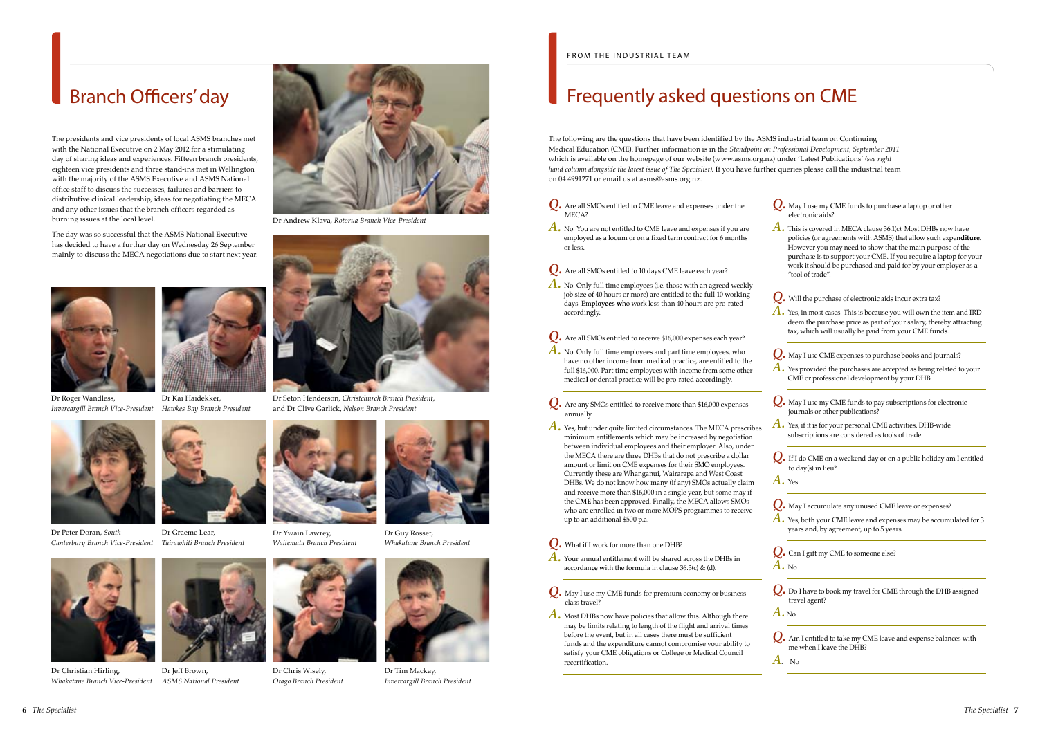

Dr Tim Mackay, *Invercargill Branch President*

### Branch Officers' day

The presidents and vice presidents of local ASMS branches met with the National Executive on 2 May 2012 for a stimulating day of sharing ideas and experiences. Fifteen branch presidents, eighteen vice presidents and three stand-ins met in Wellington with the majority of the ASMS Executive and ASMS National office staff to discuss the successes, failures and barriers to distributive clinical leadership, ideas for negotiating the MECA and any other issues that the branch officers regarded as burning issues at the local level.

The day was so successful that the ASMS National Executive has decided to have a further day on Wednesday 26 September mainly to discuss the MECA negotiations due to start next year.







Dr Seton Henderson, *Christchurch Branch President*, and Dr Clive Garlick, *Nelson Branch President*

Dr Andrew Klava, *Rotorua Branch Vice-President*

*Invercargill Branch Vice-President Hawkes Bay Branch President* Dr Kai Haidekker,





Dr Christian Hirling,



*Whakatane Branch Vice-President ASMS National President*







Dr Chris Wisely, *Otago Branch President* A. No. Only full time employees (i.e. those with an agreed weekly job size of 40 hours or more) are entitled to the full 10 working days. Em**ployees w**ho work less than 40 hours are pro-rated accordingly.



Dr Peter Doran, *South Canterbury Branch Vice-President*







Dr Guy Rosset, *Whakatane Branch President*



Dr Ywain Lawrey, *Waitemata Branch President*

### Frequently asked questions on CME

The following are the questions that have been identified by the ASMS industrial team on Continuing Medical Education (CME). Further information is in the *Standpoint on Professional Development, September 2011*  which is available on the homepage of our website [\(www.asms.org.nz](http://www.asms.org.nz)) under 'Latest Publications' *(see right hand column alongside the latest issue of The Specialist)*. If you have further queries please call the industrial team on 04 4991271 or email us at [asms@asms.org.nz](mailto:asms@asms.org.nz).

A. Yes, but under quite limited circumstances. The MECA prescribes minimum entitlements which may be increased by negotiation between individual employees and their employer. Also, under the MECA there are three DHBs that do not prescribe a dollar amount or limit on CME expenses for their SMO employees. Currently these are Whanganui, Wairarapa and West Coast DHBs. We do not know how many (if any) SMOs actually claim and receive more than \$16,000 in a single year, but some may if the C**ME** has been approved. Finally, the MECA allows SMOs who are enrolled in two or more MOPS programmes to receive up to an additional \$500 p.a.

- *Q.* Are all SMOs entitled to CME leave and expenses under the MECA?
- *A.* No. You are not entitled to CME leave and expenses if you are employed as a locum or on a fixed term contract for 6 months or less.

*Q.* Are all SMOs entitled to 10 days CME leave each year?

A. This is covered in MECA clause 36.1(c): Most DHBs now have policies (or agreements with ASMS) that allow such expe**nditure.**  However you may need to show that the main purpose of the purchase is to support your CME. If you require a laptop for your work it should be purchased and paid for by your employer as a "tool of trade".

A. Yes provided the purchases are accepted as being related to your CME or professional development by your DHB.

*Q.* Are all SMOs entitled to receive \$16,000 expenses each year?

*A.* No. Only full time employees and part time employees, who have no other income from medical practice, are entitled to the full \$16,000. Part time employees with income from some other medica**l** or dental practice will be pro-rated accordingly.

> **Q.** Can I gift my CME to someone else? *A.* No

*Q.* Are any SMOs entitled to receive more than \$16,000 expenses annually

*Q.* What if I work for more than one DHB?

- *A.* Your annual entitlement will be shared across the DHBs in accordan**ce w**ith the formula in clause 36.3(c) & (d).
- *Q.* May I use my CME funds for premium economy or business class travel?
- *A.* Most DHBs now have policies that allow this. Although there may be limits relating to length of the flight and arrival times before the event, but in all cases there must be sufficient funds and the expenditure cannot compromise your ability to satisfy your CME obligations or College or Medical Council recertification.

*Q.* May I use my CME funds to purchase a laptop or other electronic aids?

*Q.* Will the purchase of electronic aids incur extra tax?

*A.* Yes, in most cases. This is because you will own the item and IRD deem the purchase price as part of your salary, thereby attracting tax, which will usually be paid from your CME funds.

*Q.* May I use CME expenses to purchase books and journals?

*Q.* May I use my CME funds to pay subscriptions for electronic journals or other publications?

*A.* Yes, if it is for your personal CME activities. DHB-wide subscriptions are considered as tools of trade.

*Q.* If I do CME on a weekend day or on a public holiday am I entitled to day(s) in lieu?

*A.* Yes

*Q.* May I accumulate any unused CME leave or expenses?

*A.* Yes, both your CME leave and expenses may be accumulated fo**r** <sup>3</sup> years and, by agreement, up to 5 years.

*Q.* Do I have to book my travel for CME through the DHB assigned travel agent?

*A.* No

*Q.* Am I entitled to take my CME leave and expense balances with me when I leave the DHB?

*A*. No

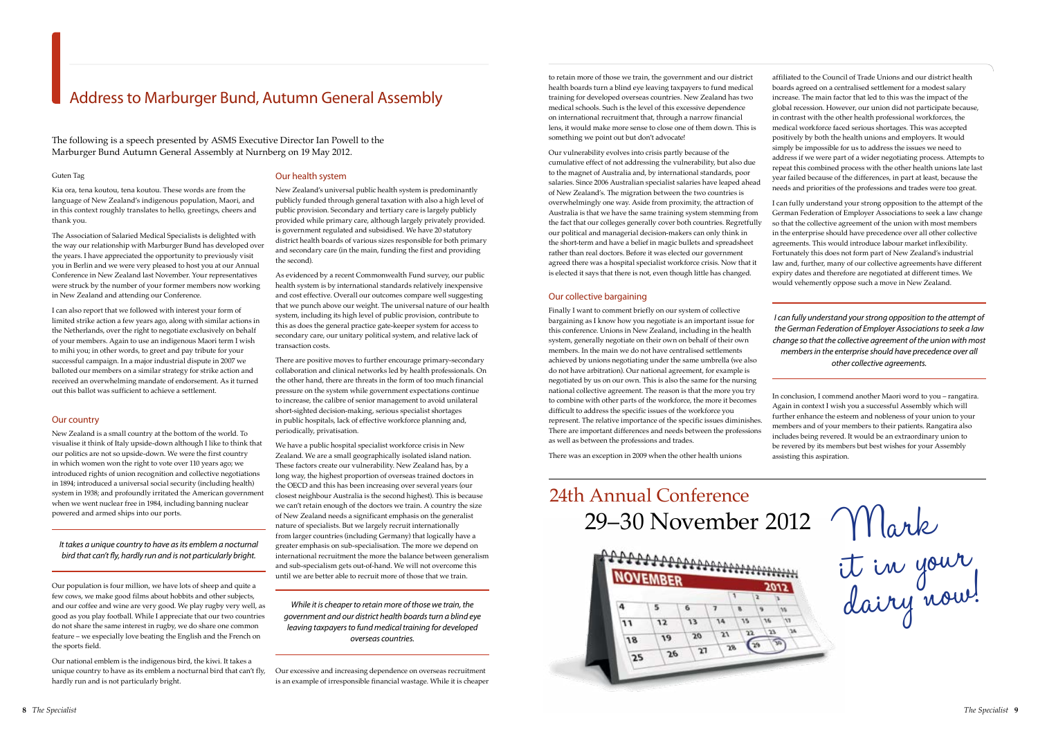The following is a speech presented by ASMS Executive Director Ian Powell to the Marburger Bund Autumn General Assembly at Nurnberg on 19 May 2012.

#### Guten Tag

Kia ora, tena koutou, tena koutou. These words are from the language of New Zealand's indigenous population, Maori, and in this context roughly translates to hello, greetings, cheers and thank you.

The Association of Salaried Medical Specialists is delighted with the way our relationship with Marburger Bund has developed over the years. I have appreciated the opportunity to previously visit you in Berlin and we were very pleased to host you at our Annual Conference in New Zealand last November. Your representatives were struck by the number of your former members now working in New Zealand and attending our Conference.

I can also report that we followed with interest your form of limited strike action a few years ago, along with similar actions in the Netherlands, over the right to negotiate exclusively on behalf of your members. Again to use an indigenous Maori term I wish to mihi you; in other words, to greet and pay tribute for your successful campaign. In a major industrial dispute in 2007 we balloted our members on a similar strategy for strike action and received an overwhelming mandate of endorsement. As it turned out this ballot was sufficient to achieve a settlement.

#### Our country

New Zealand is a small country at the bottom of the world. To visualise it think of Italy upside-down although I like to think that our politics are not so upside-down. We were the first country in which women won the right to vote over 110 years ago; we introduced rights of union recognition and collective negotiations in 1894; introduced a universal social security (including health) system in 1938; and profoundly irritated the American government when we went nuclear free in 1984, including banning nuclear powered and armed ships into our ports.

*It takes a unique country to have as its emblem a nocturnal bird that can't fly, hardly run and is not particularly bright.*

Our population is four million, we have lots of sheep and quite a few cows, we make good films about hobbits and other subjects, and our coffee and wine are very good. We play rugby very well, as good as you play football. While I appreciate that our two countries do not share the same interest in rugby, we do share one common feature – we especially love beating the English and the French on the sports field.

Our national emblem is the indigenous bird, the kiwi. It takes a unique country to have as its emblem a nocturnal bird that can't fly, hardly run and is not particularly bright.

#### Our health system

New Zealand's universal public health system is predominantly publicly funded through general taxation with also a high level of public provision. Secondary and tertiary care is largely publicly provided while primary care, although largely privately provided. is government regulated and subsidised. We have 20 statutory district health boards of various sizes responsible for both primary and secondary care (in the main, funding the first and providing the second).

As evidenced by a recent Commonwealth Fund survey, our public health system is by international standards relatively inexpensive and cost effective. Overall our outcomes compare well suggesting that we punch above our weight. The universal nature of our health system, including its high level of public provision, contribute to this as does the general practice gate-keeper system for access to secondary care, our unitary political system, and relative lack of transaction costs.

There are positive moves to further encourage primary-secondary collaboration and clinical networks led by health professionals. On the other hand, there are threats in the form of too much financial pressure on the system while government expectations continue to increase, the calibre of senior management to avoid unilateral short-sighted decision-making, serious specialist shortages in public hospitals, lack of effective workforce planning and, periodically, privatisation.

We have a public hospital specialist workforce crisis in New Zealand. We are a small geographically isolated island nation. These factors create our vulnerability. New Zealand has, by a long way, the highest proportion of overseas trained doctors in the OECD and this has been increasing over several years (our closest neighbour Australia is the second highest). This is because we can't retain enough of the doctors we train. A country the size of New Zealand needs a significant emphasis on the generalist nature of specialists. But we largely recruit internationally from larger countries (including Germany) that logically have a greater emphasis on sub-specialisation. The more we depend on international recruitment the more the balance between generalism and sub-specialism gets out-of-hand. We will not overcome this until we are better able to recruit more of those that we train.

24th Annual Conference<br>29–30 November 2012  $\text{Make}$ 29–30 November 2012



*While it is cheaper to retain more of those we train, the government and our district health boards turn a blind eye leaving taxpayers to fund medical training for developed overseas countries.*

Our excessive and increasing dependence on overseas recruitment is an example of irresponsible financial wastage. While it is cheaper to retain more of those we train, the government and our district health boards turn a blind eye leaving taxpayers to fund medical training for developed overseas countries. New Zealand has two medical schools. Such is the level of this excessive dependence on international recruitment that, through a narrow financial lens, it would make more sense to close one of them down. This is something we point out but don't advocate!

Our vulnerability evolves into crisis partly because of the cumulative effect of not addressing the vulnerability, but also due to the magnet of Australia and, by international standards, poor salaries. Since 2006 Australian specialist salaries have leaped ahead of New Zealand's. The migration between the two countries is overwhelmingly one way. Aside from proximity, the attraction of Australia is that we have the same training system stemming from the fact that our colleges generally cover both countries. Regretfully our political and managerial decision-makers can only think in the short-term and have a belief in magic bullets and spreadsheet rather than real doctors. Before it was elected our government agreed there was a hospital specialist workforce crisis. Now that it is elected it says that there is not, even though little has changed.

#### Our collective bargaining

Finally I want to comment briefly on our system of collective bargaining as I know how you negotiate is an important issue for this conference. Unions in New Zealand, including in the health system, generally negotiate on their own on behalf of their own members. In the main we do not have centralised settlements achieved by unions negotiating under the same umbrella (we also do not have arbitration). Our national agreement, for example is negotiated by us on our own. This is also the same for the nursing national collective agreement. The reason is that the more you try to combine with other parts of the workforce, the more it becomes difficult to address the specific issues of the workforce you represent. The relative importance of the specific issues diminishes. There are important differences and needs between the professions as well as between the professions and trades.

There was an exception in 2009 when the other health unions

affiliated to the Council of Trade Unions and our district health boards agreed on a centralised settlement for a modest salary increase. The main factor that led to this was the impact of the global recession. However, our union did not participate because, in contrast with the other health professional workforces, the medical workforce faced serious shortages. This was accepted positively by both the health unions and employers. It would simply be impossible for us to address the issues we need to address if we were part of a wider negotiating process. Attempts to repeat this combined process with the other health unions late last year failed because of the differences, in part at least, because the needs and priorities of the professions and trades were too great.

I can fully understand your strong opposition to the attempt of the German Federation of Employer Associations to seek a law change so that the collective agreement of the union with most members in the enterprise should have precedence over all other collective agreements. This would introduce labour market inflexibility. Fortunately this does not form part of New Zealand's industrial law and, further, many of our collective agreements have different expiry dates and therefore are negotiated at different times. We would vehemently oppose such a move in New Zealand.

*I can fully understand your strong opposition to the attempt of the German Federation of Employer Associations to seek a law change so that the collective agreement of the union with most members in the enterprise should have precedence over all other collective agreements.*

In conclusion, I commend another Maori word to you – rangatira. Again in context I wish you a successful Assembly which will further enhance the esteem and nobleness of your union to your members and of your members to their patients. Rangatira also includes being revered. It would be an extraordinary union to be revered by its members but best wishes for your Assembly assisting this aspiration.

### Address to Marburger Bund, Autumn General Assembly

it in your dairy now!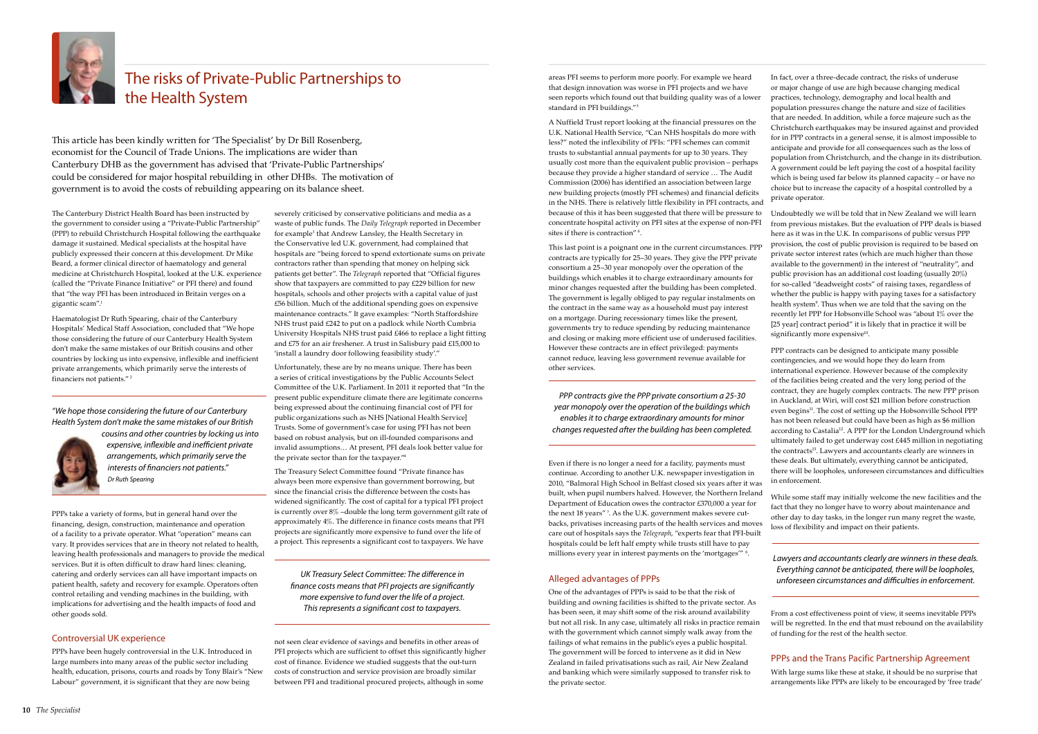

### The risks of Private-Public Partnerships to the Health System

severely criticised by conservative politicians and media as a waste of public funds. The *Daily Telegraph* reported in December for example<sup>3</sup> that Andrew Lansley, the Health Secretary in the Conservative led U.K. government, had complained that hospitals are "being forced to spend extortionate sums on private contractors rather than spending that money on helping sick patients get better". The *Telegraph* reported that "Official figures show that taxpayers are committed to pay £229 billion for new hospitals, schools and other projects with a capital value of just £56 billion. Much of the additional spending goes on expensive maintenance contracts." It gave examples: "North Staffordshire NHS trust paid £242 to put on a padlock while North Cumbria University Hospitals NHS trust paid £466 to replace a light fitting and £75 for an air freshener. A trust in Salisbury paid £15,000 to 'install a laundry door following feasibility study'."

Unfortunately, these are by no means unique. There has been a series of critical investigations by the Public Accounts Select Committee of the U.K. Parliament. In 2011 it reported that "In the present public expenditure climate there are legitimate concerns being expressed about the continuing financial cost of PFI for public organizations such as NHS [National Health Service] Trusts. Some of government's case for using PFI has not been based on robust analysis, but on ill-founded comparisons and invalid assumptions… At present, PFI deals look better value for the private sector than for the taxpayer."<sup>4</sup>

Haematologist Dr Ruth Spearing, chair of the Canterbury Hospitals' Medical Staff Association, concluded that "We hope those considering the future of our Canterbury Health System don't make the same mistakes of our British cousins and other countries by locking us into expensive, inflexible and inefficient private arrangements, which primarily serve the interests of financiers not patients."<sup>2</sup>

> The Treasury Select Committee found "Private finance has always been more expensive than government borrowing, but since the financial crisis the difference between the costs has widened significantly. The cost of capital for a typical PFI project is currently over 8% –double the long term government gilt rate of approximately 4%. The difference in finance costs means that PFI projects are significantly more expensive to fund over the life of a project. This represents a significant cost to taxpayers. We have

> not seen clear evidence of savings and benefits in other areas of PFI projects which are sufficient to offset this significantly higher cost of finance. Evidence we studied suggests that the out-turn costs of construction and service provision are broadly similar between PFI and traditional procured projects, although in some

The Canterbury District Health Board has been instructed by the government to consider using a "Private-Public Partnership" (PPP) to rebuild Christchurch Hospital following the earthquake damage it sustained. Medical specialists at the hospital have publicly expressed their concern at this development. Dr Mike Beard, a former clinical director of haematology and general medicine at Christchurch Hospital, looked at the U.K. experience (called the "Private Finance Initiative" or PFI there) and found that "the way PFI has been introduced in Britain verges on a gigantic scam".<sup>1</sup>

PPPs take a variety of forms, but in general hand over the financing, design, construction, maintenance and operation of a facility to a private operator. What "operation" means can vary. It provides services that are in theory not related to health, leaving health professionals and managers to provide the medical services. But it is often difficult to draw hard lines: cleaning, catering and orderly services can all have important impacts on patient health, safety and recovery for example. Operators often control retailing and vending machines in the building, with implications for advertising and the health impacts of food and other goods sold.

#### Controversial UK experience

PPPs have been hugely controversial in the U.K. Introduced in large numbers into many areas of the public sector including health, education, prisons, courts and roads by Tony Blair's "New Labour" government, it is significant that they are now being

Undoubtedly we will be told that in New Zealand we will learn from previous mistakes. But the evaluation of PPP deals is biased here as it was in the U.K. In comparisons of public versus PPP provision, the cost of public provision is required to be based on private sector interest rates (which are much higher than those available to the government) in the interest of "neutrality", and public provision has an additional cost loading (usually 20%) for so-called "deadweight costs" of raising taxes, regardless of whether the public is happy with paying taxes for a satisfactory health system9 . Thus when we are told that the saving on the recently let PPP for Hobsonville School was "about 1% over the [25 year] contract period" it is likely that in practice it will be significantly more expensive<sup>10</sup>.

This article has been kindly written for 'The Specialist' by Dr Bill Rosenberg, economist for the Council of Trade Unions. The implications are wider than Canterbury DHB as the government has advised that 'Private-Public Partnerships' could be considered for major hospital rebuilding in other DHBs. The motivation of government is to avoid the costs of rebuilding appearing on its balance sheet.

areas PFI seems to perform more poorly. For example we heard that design innovation was worse in PFI projects and we have seen reports which found out that building quality was of a lower standard in PFI buildings."<sup>5</sup>

A Nuffield Trust report looking at the financial pressures on the U.K. National Health Service, "Can NHS hospitals do more with less?" noted the inflexibility of PFIs: "PFI schemes can commit trusts to substantial annual payments for up to 30 years. They usually cost more than the equivalent public provision – perhaps because they provide a higher standard of service … The Audit Commission (2006) has identified an association between large new building projects (mostly PFI schemes) and financial deficits in the NHS. There is relatively little flexibility in PFI contracts, and because of this it has been suggested that there will be pressure to concentrate hospital activity on PFI sites at the expense of non-PFI sites if there is contraction" <sup>6</sup> .

This last point is a poignant one in the current circumstances. PPP contracts are typically for 25–30 years. They give the PPP private consortium a 25–30 year monopoly over the operation of the buildings which enables it to charge extraordinary amounts for minor changes requested after the building has been completed. The government is legally obliged to pay regular instalments on the contract in the same way as a household must pay interest on a mortgage. During recessionary times like the present, governments try to reduce spending by reducing maintenance and closing or making more efficient use of underused facilities. However these contracts are in effect privileged: payments cannot reduce, leaving less government revenue available for other services.

Even if there is no longer a need for a facility, payments must continue. According to another U.K. newspaper investigation in 2010, "Balmoral High School in Belfast closed six years after it was built, when pupil numbers halved. However, the Northern Ireland Department of Education owes the contractor £370,000 a year for the next 18 years" <sup>7</sup> . As the U.K. government makes severe cutbacks, privatises increasing parts of the health services and moves care out of hospitals says the *Telegraph*, "experts fear that PFI-built hospitals could be left half empty while trusts still have to pay millions every year in interest payments on the 'mortgages'" <sup>8</sup> .

#### Alleged advantages of PPPs

One of the advantages of PPPs is said to be that the risk of building and owning facilities is shifted to the private sector. As has been seen, it may shift some of the risk around availability but not all risk. In any case, ultimately all risks in practice remain with the government which cannot simply walk away from the failings of what remains in the public's eyes a public hospital. The government will be forced to intervene as it did in New Zealand in failed privatisations such as rail, Air New Zealand and banking which were similarly supposed to transfer risk to the private sector.

In fact, over a three-decade contract, the risks of underuse or major change of use are high because changing medical practices, technology, demography and local health and population pressures change the nature and size of facilities that are needed. In addition, while a force majeure such as the Christchurch earthquakes may be insured against and provided for in PPP contracts in a general sense, it is almost impossible to anticipate and provide for all consequences such as the loss of population from Christchurch, and the change in its distribution. A government could be left paying the cost of a hospital facility which is being used far below its planned capacity – or have no choice but to increase the capacity of a hospital controlled by a private operator.

PPP contracts can be designed to anticipate many possible contingencies, and we would hope they do learn from international experience. However because of the complexity of the facilities being created and the very long period of the contract, they are hugely complex contracts. The new PPP prison in Auckland, at Wiri, will cost \$21 million before construction even begins<sup>11</sup>. The cost of setting up the Hobsonville School PPP has not been released but could have been as high as \$6 million according to Castalia<sup>12</sup>. A PPP for the London Underground which ultimately failed to get underway cost £445 million in negotiating the contracts<sup>13</sup>. Lawyers and accountants clearly are winners in these deals. But ultimately, everything cannot be anticipated, there will be loopholes, unforeseen circumstances and difficulties in enforcement.

While some staff may initially welcome the new facilities and the fact that they no longer have to worry about maintenance and other day to day tasks, in the longer run many regret the waste, loss of flexibility and impact on their patients.

From a cost effectiveness point of view, it seems inevitable PPPs will be regretted. In the end that must rebound on the availability of funding for the rest of the health sector.

#### PPPs and the Trans Pacific Partnership Agreement

With large sums like these at stake, it should be no surprise that arrangements like PPPs are likely to be encouraged by 'free trade'

*UK Treasury Select Committee: The difference in finance costs means that PFI projects are significantly more expensive to fund over the life of a project. This represents a significant cost to taxpayers.*

*"We hope those considering the future of our Canterbury Health System don't make the same mistakes of our British* 



*cousins and other countries by locking us into expensive, inflexible and inefficient private arrangements, which primarily serve the interests of financiers not patients." Dr Ruth Spearing*

*PPP contracts give the PPP private consortium a 25-30 year monopoly over the operation of the buildings which enables it to charge extraordinary amounts for minor changes requested after the building has been completed.*

> *Lawyers and accountants clearly are winners in these deals. Everything cannot be anticipated, there will be loopholes, unforeseen circumstances and difficulties in enforcement.*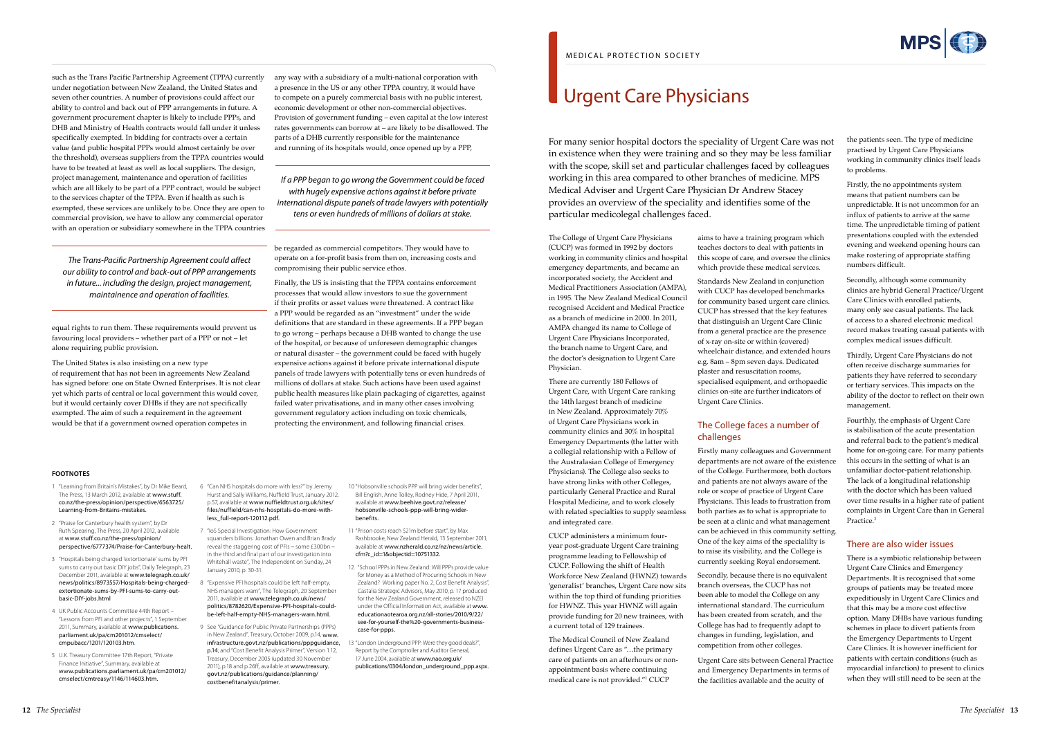such as the Trans Pacific Partnership Agreement (TPPA) currently under negotiation between New Zealand, the United States and seven other countries. A number of provisions could affect our ability to control and back out of PPP arrangements in future. A government procurement chapter is likely to include PPPs, and DHB and Ministry of Health contracts would fall under it unless specifically exempted. In bidding for contracts over a certain value (and public hospital PPPs would almost certainly be over the threshold), overseas suppliers from the TPPA countries would have to be treated at least as well as local suppliers. The design, project management, maintenance and operation of facilities which are all likely to be part of a PPP contract, would be subject to the services chapter of the TPPA. Even if health as such is exempted, these services are unlikely to be. Once they are open to commercial provision, we have to allow any commercial operator with an operation or subsidiary somewhere in the TPPA countries

equal rights to run them. These requirements would prevent us favouring local providers – whether part of a PPP or not – let alone requiring public provision.

The United States is also insisting on a new type of requirement that has not been in agreements New Zealand has signed before: one on State Owned Enterprises. It is not clear yet which parts of central or local government this would cover, but it would certainly cover DHBs if they are not specifically exempted. The aim of such a requirement in the agreement would be that if a government owned operation competes in

any way with a subsidiary of a multi-national corporation with a presence in the US or any other TPPA country, it would have to compete on a purely commercial basis with no public interest, economic development or other non-commercial objectives. Provision of government funding – even capital at the low interest rates governments can borrow at – are likely to be disallowed. The parts of a DHB currently responsible for the maintenance and running of its hospitals would, once opened up by a PPP,

be regarded as commercial competitors. They would have to operate on a for-profit basis from then on, increasing costs and compromising their public service ethos.

Finally, the US is insisting that the TPPA contains enforcement processes that would allow investors to sue the government if their profits or asset values were threatened. A contract like a PPP would be regarded as an "investment" under the wide definitions that are standard in these agreements. If a PPP began to go wrong – perhaps because a DHB wanted to change the use of the hospital, or because of unforeseen demographic changes or natural disaster – the government could be faced with hugely expensive actions against it before private international dispute panels of trade lawyers with potentially tens or even hundreds of millions of dollars at stake. Such actions have been used against public health measures like plain packaging of cigarettes, against failed water privatisations, and in many other cases involving government regulatory action including on toxic chemicals, protecting the environment, and following financial crises.

*The Trans-Pacific Partnership Agreement could affect our ability to control and back-out of PPP arrangements in future... including the design, project management, maintainence and operation of facilities.*

- 1 "Learning from Britain's Mistakes", by Dr Mike Beard, The Press, 13 March 2012, available at [www.stuff.](http://www.stuff.co.nz/the-press/opinion/perspective/6563725/Learning-from-Britains-mistakes) [co.nz/the-press/opinion/perspective/6563725/](http://www.stuff.co.nz/the-press/opinion/perspective/6563725/Learning-from-Britains-mistakes) [Learning-from-Britains-mistakes.](http://www.stuff.co.nz/the-press/opinion/perspective/6563725/Learning-from-Britains-mistakes)
- 2 "Praise for Canterbury health system", by Dr Ruth Spearing, The Press, 20 April 2012, available at [www.stuff.co.nz/the-press/opinion/](http://www.stuff.co.nz/the-press/opinion/perspective/6777374/Praise-for-Canterbury-healt) [perspective/6777374/Praise-for-Canterbury-healt.](http://www.stuff.co.nz/the-press/opinion/perspective/6777374/Praise-for-Canterbury-healt)
- 3 "Hospitals being charged 'extortionate' sums by PFI sums to carry out basic DIY jobs", Daily Telegraph, 23 December 2011, available at [www.telegraph.co.uk/](http://www.telegraph.co.uk/news/politics/8973557/Hospitals-being-charged-extortionate-sums-by-PFI-sums-to-carry-out-basic-DIY-jobs.html) [news/politics/8973557/Hospitals-being-charged](http://www.telegraph.co.uk/news/politics/8973557/Hospitals-being-charged-extortionate-sums-by-PFI-sums-to-carry-out-basic-DIY-jobs.html)[extortionate-sums-by-PFI-sums-to-carry-out](http://www.telegraph.co.uk/news/politics/8973557/Hospitals-being-charged-extortionate-sums-by-PFI-sums-to-carry-out-basic-DIY-jobs.html)[basic-DIY-jobs.html](http://www.telegraph.co.uk/news/politics/8973557/Hospitals-being-charged-extortionate-sums-by-PFI-sums-to-carry-out-basic-DIY-jobs.html)
- 4 UK Public Accounts Committee 44th Report "Lessons from PFI and other projects", 1 September 2011, Summary, available at [www.publications.](http://www.publications.parliament.uk/pa/cm201012/cmselect/cmpubacc/1201/120103.htm) [parliament.uk/pa/cm201012/cmselect/](http://www.publications.parliament.uk/pa/cm201012/cmselect/cmpubacc/1201/120103.htm) [cmpubacc/1201/120103.htm.](http://www.publications.parliament.uk/pa/cm201012/cmselect/cmpubacc/1201/120103.htm)
- 5 U.K. Treasury Committee 17th Report, "Private Finance Initiative", Summary, available at [www.publications.parliament.uk/pa/cm201012/](http://www.publications.parliament.uk/pa/cm201012/cmselect/cmtreasy/1146/114603.htm) [cmselect/cmtreasy/1146/114603.htm.](http://www.publications.parliament.uk/pa/cm201012/cmselect/cmtreasy/1146/114603.htm)
- 6 "Can NHS hospitals do more with less?" by Jeremy Hurst and Sally Williams, Nuffield Trust, January 2012, p.57, available at [www.nuffieldtrust.org.uk/sites/](http://www.nuffieldtrust.org.uk/sites/files/nuffield/can-nhs-hospitals-do-more-with-less_full-report-120112.pdf) [files/nuffield/can-nhs-hospitals-do-more-with](http://www.nuffieldtrust.org.uk/sites/files/nuffield/can-nhs-hospitals-do-more-with-less_full-report-120112.pdf)[less\\_full-report-120112.pdf](http://www.nuffieldtrust.org.uk/sites/files/nuffield/can-nhs-hospitals-do-more-with-less_full-report-120112.pdf).
- 7 "IoS Special Investigation: How Government squanders billions: Jonathan Owen and Brian Brady reveal the staggering cost of PFIs – some £300bn – in the third and final part of our investigation into Whitehall waste", The Independent on Sunday, 24 January 2010, p. 30-31.
- 8 "Expensive PFI hospitals could be left half-empty, NHS managers warn", The Telegraph, 20 September 2011, available at [www.telegraph.co.uk/news/](http://www.telegraph.co.uk/news/politics/8782620/Expensive-PFI-hospitals-could-be-left-half-empty-NHS-managers-warn.html) [politics/8782620/Expensive-PFI-hospitals-could](http://www.telegraph.co.uk/news/politics/8782620/Expensive-PFI-hospitals-could-be-left-half-empty-NHS-managers-warn.html)[be-left-half-empty-NHS-managers-warn.html](http://www.telegraph.co.uk/news/politics/8782620/Expensive-PFI-hospitals-could-be-left-half-empty-NHS-managers-warn.html).
- 9 See "Guidance for Public Private Partnerships (PPPs) in New Zealand", Treasury, October 2009, p.14, [www.](http://www.infrastructure.govt.nz/publications/pppguidance) [infrastructure.govt.nz/publications/pppguidance,](http://www.infrastructure.govt.nz/publications/pppguidance) p.14; and "Cost Benefit Analysis Primer", Version 1.12, Treasury, December 2005 (updated 30 November 2011), p.18 and p.26ff, available at [www.treasury.](http://www.treasury.govt.nz/publications/guidance/planning/costbenefitanalysis/primer) [govt.nz/publications/guidance/planning/](http://www.treasury.govt.nz/publications/guidance/planning/costbenefitanalysis/primer) [costbenefitanalysis/primer](http://www.treasury.govt.nz/publications/guidance/planning/costbenefitanalysis/primer).

10 "Hobsonville schools PPP will bring wider benefits", Bill English, Anne Tolley, Rodney Hide, 7 April 2011, available at [www.beehive.govt.nz/release/](http://www.beehive.govt.nz/release/hobsonville-schools-ppp-will-bring-wider-benefits) [hobsonville-schools-ppp-will-bring-wider](http://www.beehive.govt.nz/release/hobsonville-schools-ppp-will-bring-wider-benefits)[benefits.](http://www.beehive.govt.nz/release/hobsonville-schools-ppp-will-bring-wider-benefits)

Fourthly, the emphasis of Urgent Care is stabilisation of the acute presentation and referral back to the patient's medical home for on-going care. For many patients this occurs in the setting of what is an unfamiliar doctor-patient relationship. The lack of a longitudinal relationship with the doctor which has been valued over time results in a higher rate of patient complaints in Urgent Care than in General Practice.<sup>2</sup>

- 11 "Prison costs reach \$21m before start", by Max Rashbrooke, New Zealand Herald, 13 September 2011, available at [www.nzherald.co.nz/nz/news/article.](http://www.nzherald.co.nz/nz/news/article.cfm?c_id=1&objectid=10751332) [cfm?c\\_id=1&objectid=10751332.](http://www.nzherald.co.nz/nz/news/article.cfm?c_id=1&objectid=10751332)
- 12. "School PPPs in New Zealand: Will PPPs provide value for Money as a Method of Procuring Schools in New Zealand? Working paper No. 2, Cost Benefit Analysis", Castalia Strategic Advisors, May 2010, p. 17 produced for the New Zealand Government, released to NZEI under the Official Information Act, available at www. educationaotearoa.org.nz/all-stories/2010/9/22/ see-for-yourself-the%20-governments-businesscase-for-ppps.
- 13 "London Underground PPP: Were they good deals?", Report by the Comptroller and Auditor General, 17 June 2004, available at [www.nao.org.uk/](http://www.nao.org.uk/publications/0304/london_underground_ppp.aspx) [publications/0304/london\\_underground\\_ppp.aspx](http://www.nao.org.uk/publications/0304/london_underground_ppp.aspx).

#### **FOOTNOTES**

*If a PPP began to go wrong the Government could be faced with hugely expensive actions against it before private international dispute panels of trade lawyers with potentially tens or even hundreds of millions of dollars at stake.*

### Urgent Care Physicians

For many senior hospital doctors the speciality of Urgent Care was not in existence when they were training and so they may be less familiar with the scope, skill set and particular challenges faced by colleagues working in this area compared to other branches of medicine. MPS Medical Adviser and Urgent Care Physician Dr Andrew Stacey provides an overview of the speciality and identifies some of the particular medicolegal challenges faced.

The College of Urgent Care Physicians (CUCP) was formed in 1992 by doctors working in community clinics and hospital emergency departments, and became an incorporated society, the Accident and Medical Practitioners Association (AMPA), in 1995. The New Zealand Medical Council recognised Accident and Medical Practice as a branch of medicine in 2000. In 2011, AMPA changed its name to College of Urgent Care Physicians Incorporated, the branch name to Urgent Care, and the doctor's designation to Urgent Care Physician.

There are currently 180 Fellows of Urgent Care, with Urgent Care ranking the 14th largest branch of medicine in New Zealand. Approximately 70% of Urgent Care Physicians work in community clinics and 30% in hospital Emergency Departments (the latter with a collegial relationship with a Fellow of the Australasian College of Emergency Physicians). The College also seeks to have strong links with other Colleges, particularly General Practice and Rural Hospital Medicine, and to work closely with related specialties to supply seamless and integrated care.

CUCP administers a minimum fouryear post-graduate Urgent Care training programme leading to Fellowship of CUCP. Following the shift of Health Workforce New Zealand (HWNZ) towards 'generalist' branches, Urgent Care now sits within the top third of funding priorities for HWNZ. This year HWNZ will again provide funding for 20 new trainees, with a current total of 129 trainees.

The Medical Council of New Zealand defines Urgent Care as "…the primary care of patients on an afterhours or nonappointment basis where continuing medical care is not provided."1 CUCP

aims to have a training program which teaches doctors to deal with patients in this scope of care, and oversee the clinics which provide these medical services.

Standards New Zealand in conjunction with CUCP has developed benchmarks for community based urgent care clinics. CUCP has stressed that the key features that distinguish an Urgent Care Clinic from a general practice are the presence of x-ray on-site or within (covered) wheelchair distance, and extended hours e.g. 8am – 8pm seven days. Dedicated plaster and resuscitation rooms, specialised equipment, and orthopaedic clinics on-site are further indicators of Urgent Care Clinics.

#### The College faces a number of challenges

Firstly many colleagues and Government departments are not aware of the existence of the College. Furthermore, both doctors and patients are not always aware of the role or scope of practice of Urgent Care Physicians. This leads to frustration from both parties as to what is appropriate to be seen at a clinic and what management can be achieved in this community setting. One of the key aims of the specialilty is to raise its visibility, and the College is currently seeking Royal endorsement.

Secondly, because there is no equivalent branch overseas, the CUCP has not been able to model the College on any international standard. The curriculum has been created from scratch, and the College has had to frequently adapt to changes in funding, legislation, and competition from other colleges.

Urgent Care sits between General Practice and Emergency Departments in terms of the facilities available and the acuity of



the patients seen. The type of medicine practised by Urgent Care Physicians working in community clinics itself leads to problems.

Firstly, the no appointments system means that patient numbers can be unpredictable. It is not uncommon for an influx of patients to arrive at the same time. The unpredictable timing of patient presentations coupled with the extended evening and weekend opening hours can make rostering of appropriate staffing numbers difficult.

Secondly, although some community clinics are hybrid General Practice/Urgent Care Clinics with enrolled patients, many only see casual patients. The lack of access to a shared electronic medical record makes treating casual patients with complex medical issues difficult.

Thirdly, Urgent Care Physicians do not often receive discharge summaries for patients they have referred to secondary or tertiary services. This impacts on the ability of the doctor to reflect on their own management.

#### There are also wider issues

There is a symbiotic relationship between Urgent Care Clinics and Emergency Departments. It is recognised that some groups of patients may be treated more expeditiously in Urgent Care Clinics and that this may be a more cost effective option. Many DHBs have various funding schemes in place to divert patients from the Emergency Departments to Urgent Care Clinics. It is however inefficient for patients with certain conditions (such as myocardial infarction) to present to clinics when they will still need to be seen at the

#### MEDICAL PROTECTION SOCIETY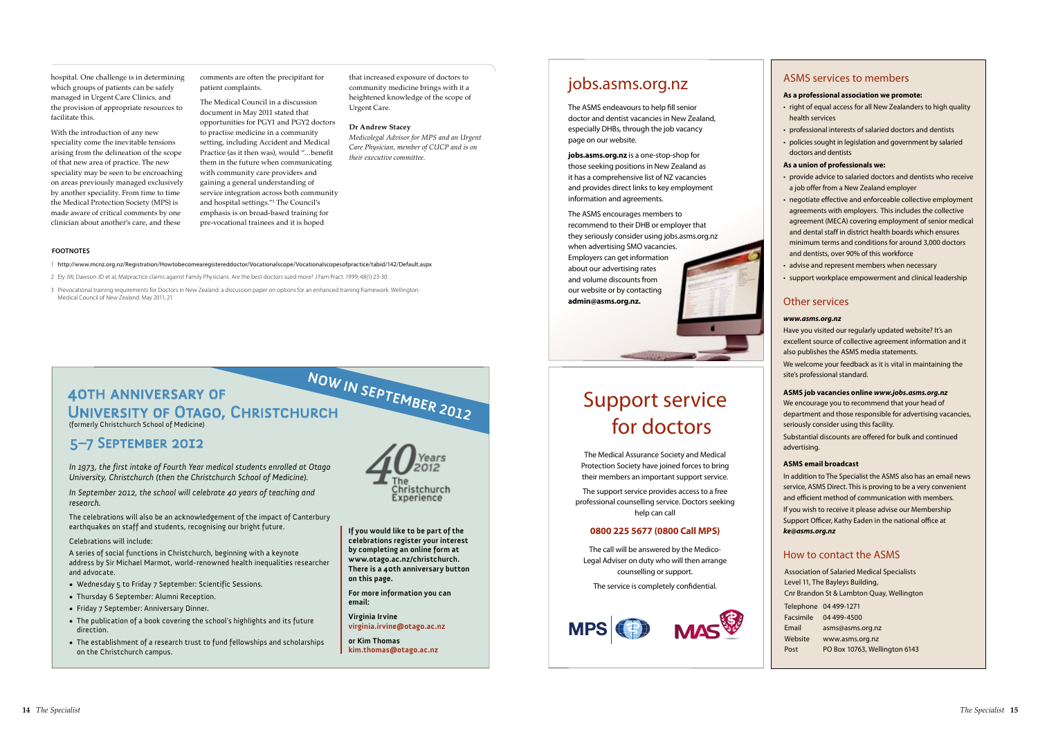### Support service for doctors

The Medical Assurance Society and Medical Protection Society have joined forces to bring their members an important support service.

The support service provides access to a free professional counselling service. Doctors seeking help can call

#### **0800 225 5677 (0800 Call MPS)**

The call will be answered by the Medico-Legal Adviser on duty who will then arrange counselling or support.

The service is completely confidential.



### jobs.asms.org.nz

The ASMS endeavours to help fill senior doctor and dentist vacancies in New Zealand, especially DHBs, through the job vacancy page on our website.

- right of equal access for all New Zealanders to high quality health services
- professional interests of salaried doctors and dentists
- policies sought in legislation and government by salaried doctors and dentists

**jobs.asms.org.nz** is a one-stop-shop for those seeking positions in New Zealand as it has a comprehensive list of NZ vacancies and provides direct links to key employment information and agreements.

The ASMS encourages members to recommend to their DHB or employer that they seriously consider using jobs.asms.org.nz when advertising SMO vacancies. Employers can get information about our advertising rates and volume discounts from our website or by contacting **admin@asms.org.nz.**

#### ASMS services to members

#### **As a professional association we promote:**

#### **As a union of professionals we:**

- provide advice to salaried doctors and dentists who receive a job offer from a New Zealand employer
- negotiate effective and enforceable collective employment agreements with employers. This includes the collective agreement (MECA) covering employment of senior medical and dental staff in district health boards which ensures minimum terms and conditions for around 3,000 doctors and dentists, over 90% of this workforce
- advise and represent members when necessary
- support workplace empowerment and clinical leadership

|           | Telephone 04 499-1271         |
|-----------|-------------------------------|
| Facsimile | 04 499-4500                   |
| Email     | asms@asms.org.nz              |
| Website   | www.asms.org.nz               |
| Post      | PO Box 10763, Wellington 6143 |
|           |                               |

#### Other services

#### *www.asms.org.nz*

Have you visited our regularly updated website? It's an excellent source of collective agreement information and it also publishes the ASMS media statements.

We welcome your feedback as it is vital in maintaining the site's professional standard.

#### **ASMS job vacancies online** *www.jobs.asms.org.nz*

We encourage you to recommend that your head of department and those responsible for advertising vacancies, seriously consider using this facility.

Substantial discounts are offered for bulk and continued advertising.

#### **ASMS email broadcast**

In addition to The Specialist the ASMS also has an email news service, ASMS Direct. This is proving to be a very convenient and efficient method of communication with members. If you wish to receive it please advise our Membership Support Officer, Kathy Eaden in the national office at *ke@asms.org.nz*

#### How to contact the ASMS

Association of Salaried Medical Specialists Level 11, The Bayleys Building, Cnr Brandon St & Lambton Quay, Wellington

hospital. One challenge is in determining which groups of patients can be safely managed in Urgent Care Clinics, and the provision of appropriate resources to facilitate this.

With the introduction of any new speciality come the inevitable tensions arising from the delineation of the scope of that new area of practice. The new speciality may be seen to be encroaching on areas previously managed exclusively by another speciality. From time to time the Medical Protection Society (MPS) is made aware of critical comments by one clinician about another's care, and these

comments are often the precipitant for patient complaints.

The Medical Council in a discussion document in May 2011 stated that opportunities for PGY1 and PGY2 doctors to practise medicine in a community setting, including Accident and Medical Practice (as it then was), would "…benefit them in the future when communicating with community care providers and gaining a general understanding of service integration across both community and hospital settings."3 The Council's emphasis is on broad-based training for pre-vocational trainees and it is hoped

that increased exposure of doctors to community medicine brings with it a heightened knowledge of the scope of Urgent Care.

#### **Dr Andrew Stacey**

*Medicolegal Advisor for MPS and an Urgent Care Physician, member of CUCP and is on their executive committee.*

#### **now in September 2012** 40th anniversary of UNIVERSITY OF OTAGO, CHRISTCHURCH (formerly Christchurch School of Medicine)

#### 5–7 September 2012

*In 1973, the first intake of Fourth Year medical students enrolled at Otago University, Christchurch (then the Christchurch School of Medicine).*

*In September 2012, the school will celebrate 40 years of teaching and research.*

The celebrations will also be an acknowledgement of the impact of Canterbury earthquakes on staff and students, recognising our bright future.

#### Celebrations will include:

A series of social functions in Christchurch, beginning with a keynote address by Sir Michael Marmot, world-renowned health inequalities researcher and advocate.

- • Wednesday 5 to Friday 7 September: Scientific Sessions.
- • Thursday 6 September: Alumni Reception.
- Friday 7 September: Anniversary Dinner.
- The publication of a book covering the school's highlights and its future direction.
- The establishment of a research trust to fund fellowships and scholarships on the Christchurch campus.



**If you would like to be part of the celebrations register your interest by completing an online form at www.otago.ac.nz/christchurch. There is a 40th anniversary button on this page.**

**For more information you can email:**

**Virginia Irvine virginia.irvine@otago.ac.nz**

**or Kim Thomas kim.thomas@otago.ac.nz**

1 http://www.mcnz.org.nz/Registration/Howtobecomearegistereddoctor/Vocationalscope/Vocationalscopesofpractice/tabid/142/Default.aspx

- 2 Ely JW, Dawson JD et al, Malpractice claims against Family Physicians. Are the best doctors sued more? J Fam Pract. 1999; 48(1):23-30.
- 3 Prevocational training requirements for Doctors in New Zealand: a discussion paper on options for an enhanced training framework. Wellington: Medical Council of New Zealand. May 2011; 21.

#### **FOOTNOTES**